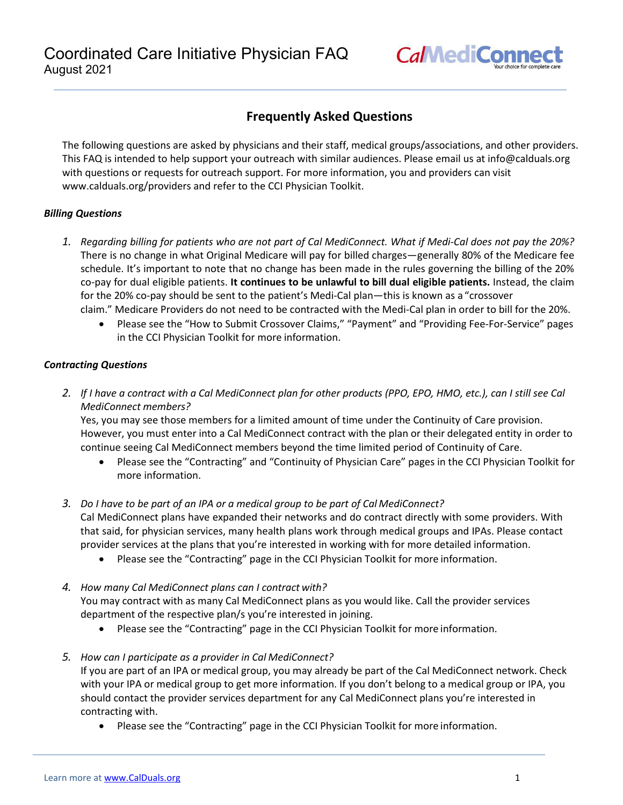

# **Frequently Asked Questions**

The following questions are asked by physicians and their staff, medical groups/associations, and other providers. This FAQ is intended to help support your outreach with similar audiences. Please email us at [info@calduals.org](mailto:info@calduals.org) with questions or requests for outreach support. For more information, you and providers can visit [www.calduals.org/providers a](http://www.calduals.org/providers)nd refer to the CCI Physician Toolkit.

### *Billing Questions*

- *1. Regarding billing for patients who are not part of Cal MediConnect. What if Medi-Cal does not pay the 20%?*  There is no change in what Original Medicare will pay for billed charges—generally 80% of the Medicare fee schedule. It's important to note that no change has been made in the rules governing the billing of the 20% co-pay for dual eligible patients. **It continues to be unlawful to bill dual eligible patients.** Instead, the claim for the 20% co-pay should be sent to the patient's Medi-Cal plan—this is known as a "crossover claim." Medicare Providers do not need to be contracted with the Medi-Cal plan in order to bill for the 20%.
	- Please see the "How to Submit Crossover Claims," "Payment" and "Providing Fee-For-Service" pages in the CCI Physician Toolkit for more information.

### *Contracting Questions*

*2. If I have a contract with a Cal MediConnect plan for other products (PPO, EPO, HMO, etc.), can I still see Cal MediConnect members?*

Yes, you may see those members for a limited amount of time under the Continuity of Care provision. However, you must enter into a Cal MediConnect contract with the plan or their delegated entity in order to continue seeing Cal MediConnect members beyond the time limited period of Continuity of Care.

- Please see the "Contracting" and "Continuity of Physician Care" pages in the CCI Physician Toolkit for more information.
- *3. Do I have to be part of an IPA or a medical group to be part of Cal MediConnect?* Cal MediConnect plans have expanded their networks and do contract directly with some providers. With that said, for physician services, many health plans work through medical groups and IPAs. Please contact provider services at the plans that you're interested in working with for more detailed information.
	- Please see the "Contracting" page in the CCI Physician Toolkit for more information.
- *4. How many Cal MediConnect plans can I contract with?*

You may contract with as many Cal MediConnect plans as you would like. Call the provider services department of the respective plan/s you're interested in joining.

• Please see the "Contracting" page in the CCI Physician Toolkit for more information.

## *5. How can I participate as a provider in Cal MediConnect?*

If you are part of an IPA or medical group, you may already be part of the Cal MediConnect network. Check with your IPA or medical group to get more information. If you don't belong to a medical group or IPA, you should contact the provider services department for any Cal MediConnect plans you're interested in contracting with.

• Please see the "Contracting" page in the CCI Physician Toolkit for more information.